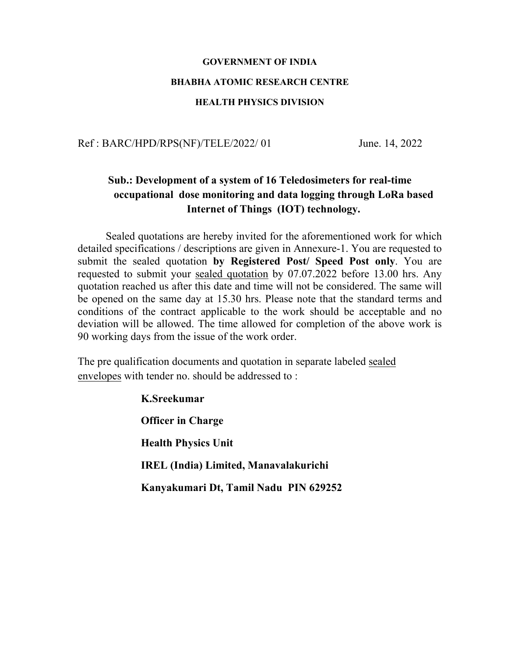# **GOVERNMENT OF INDIA BHABHA ATOMIC RESEARCH CENTRE HEALTH PHYSICS DIVISION**

Ref : BARC/HPD/RPS(NF)/TELE/2022/ 01 June. 14, 2022

## **Sub.: Development of a system of 16 Teledosimeters for real-time occupational dose monitoring and data logging through LoRa based Internet of Things (IOT) technology.**

Sealed quotations are hereby invited for the aforementioned work for which detailed specifications / descriptions are given in Annexure-1. You are requested to submit the sealed quotation **by Registered Post/ Speed Post only**. You are requested to submit your sealed quotation by 07.07.2022 before 13.00 hrs. Any quotation reached us after this date and time will not be considered. The same will be opened on the same day at 15.30 hrs. Please note that the standard terms and conditions of the contract applicable to the work should be acceptable and no deviation will be allowed. The time allowed for completion of the above work is 90 working days from the issue of the work order.

The pre qualification documents and quotation in separate labeled sealed envelopes with tender no. should be addressed to :

> **K.Sreekumar Officer in Charge Health Physics Unit IREL (India) Limited, Manavalakurichi Kanyakumari Dt, Tamil Nadu PIN 629252**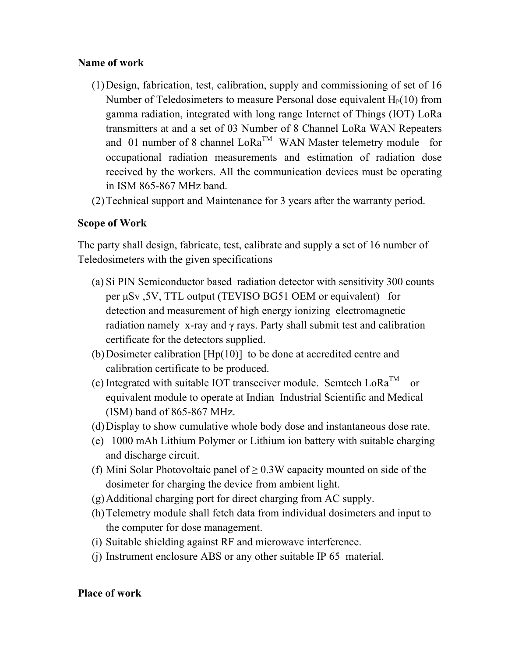#### **Name of work**

- (1)Design, fabrication, test, calibration, supply and commissioning of set of 16 Number of Teledosimeters to measure Personal dose equivalent  $H<sub>P</sub>(10)$  from gamma radiation, integrated with long range Internet of Things (IOT) LoRa transmitters at and a set of 03 Number of 8 Channel LoRa WAN Repeaters and 01 number of 8 channel  $\text{LoRa}^{\text{TM}}$  WAN Master telemetry module for occupational radiation measurements and estimation of radiation dose received by the workers. All the communication devices must be operating in ISM 865-867 MHz band.
- (2)Technical support and Maintenance for 3 years after the warranty period.

#### **Scope of Work**

The party shall design, fabricate, test, calibrate and supply a set of 16 number of Teledosimeters with the given specifications

- (a) Si PIN Semiconductor based radiation detector with sensitivity 300 counts per μSv ,5V, TTL output (TEVISO BG51 OEM or equivalent) for detection and measurement of high energy ionizing electromagnetic radiation namely x-ray and  $\gamma$  rays. Party shall submit test and calibration certificate for the detectors supplied.
- (b)Dosimeter calibration [Hp(10)] to be done at accredited centre and calibration certificate to be produced.
- (c) Integrated with suitable IOT transceiver module. Semtech  $LoRa^{TM}$  or equivalent module to operate at Indian Industrial Scientific and Medical (ISM) band of 865-867 MHz.
- (d)Display to show cumulative whole body dose and instantaneous dose rate.
- (e) 1000 mAh Lithium Polymer or Lithium ion battery with suitable charging and discharge circuit.
- (f) Mini Solar Photovoltaic panel of  $\geq$  0.3W capacity mounted on side of the dosimeter for charging the device from ambient light.
- (g)Additional charging port for direct charging from AC supply.
- (h)Telemetry module shall fetch data from individual dosimeters and input to the computer for dose management.
- (i) Suitable shielding against RF and microwave interference.
- (j) Instrument enclosure ABS or any other suitable IP 65 material.

#### **Place of work**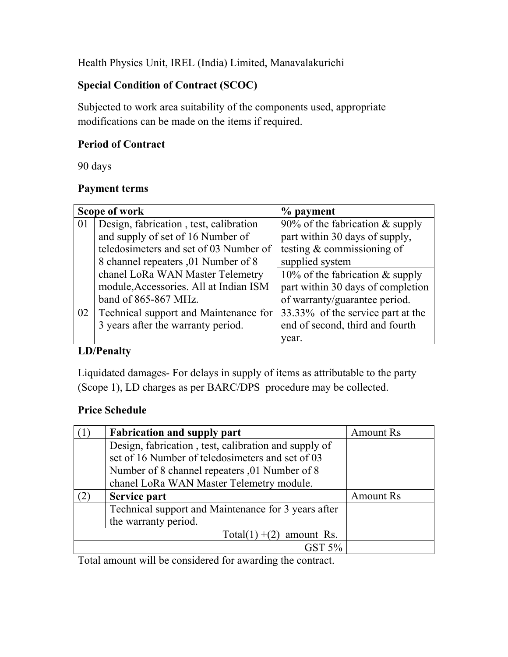Health Physics Unit, IREL (India) Limited, Manavalakurichi

#### **Special Condition of Contract (SCOC)**

Subjected to work area suitability of the components used, appropriate modifications can be made on the items if required.

### **Period of Contract**

90 days

#### **Payment terms**

| Scope of work |                                        | $\%$ payment                       |
|---------------|----------------------------------------|------------------------------------|
| 01            | Design, fabrication, test, calibration | 90% of the fabrication $\&$ supply |
|               | and supply of set of 16 Number of      | part within 30 days of supply,     |
|               | teledosimeters and set of 03 Number of | testing $&$ commissioning of       |
|               | 8 channel repeaters ,01 Number of 8    | supplied system                    |
|               | chanel LoRa WAN Master Telemetry       | 10% of the fabrication $&$ supply  |
|               | module, Accessories. All at Indian ISM | part within 30 days of completion  |
|               | band of 865-867 MHz.                   | of warranty/guarantee period.      |
| 02            | Technical support and Maintenance for  | 33.33% of the service part at the  |
|               | 3 years after the warranty period.     | end of second, third and fourth    |
|               |                                        | year.                              |

## **LD/Penalty**

Liquidated damages- For delays in supply of items as attributable to the party (Scope 1), LD charges as per BARC/DPS procedure may be collected.

#### **Price Schedule**

| <b>Amount Rs</b> |
|------------------|
|                  |
|                  |
|                  |
|                  |
| <b>Amount Rs</b> |
|                  |
|                  |
|                  |
|                  |
|                  |

Total amount will be considered for awarding the contract.